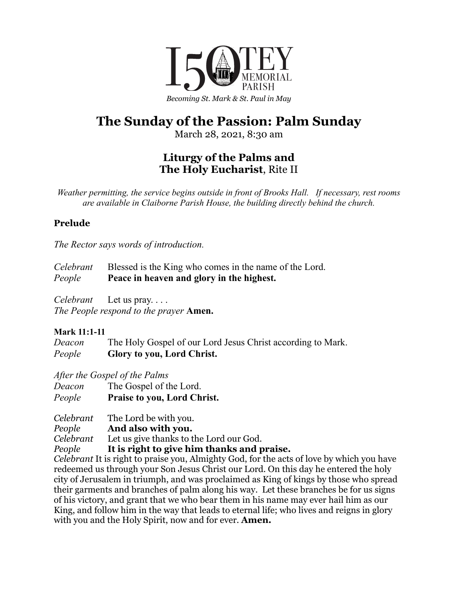

## **The Sunday of the Passion: Palm Sunday**

March 28, 2021, 8:30 am

## **Liturgy of the Palms and The Holy Eucharist**, Rite II

*Weather permitting, the service begins outside in front of Brooks Hall. If necessary, rest rooms are available in Claiborne Parish House, the building directly behind the church.*

### **Prelude**

*The Rector says words of introduction.*

| Celebrant | Blessed is the King who comes in the name of the Lord. |
|-----------|--------------------------------------------------------|
| People    | Peace in heaven and glory in the highest.              |

*Celebrant* Let us pray. . . .

*The People respond to the prayer* **Amen.**

#### **Mark 11:1-11**

*Deacon* The Holy Gospel of our Lord Jesus Christ according to Mark. *People* **Glory to you, Lord Christ.**

*After the Gospel of the Palms*

| Deacon | The Gospel of the Lord.            |
|--------|------------------------------------|
| People | <b>Praise to you, Lord Christ.</b> |

*Celebrant* The Lord be with you.

*People* **And also with you.**

*Celebrant* Let us give thanks to the Lord our God.

*People* **It is right to give him thanks and praise.**

*Celebrant* It is right to praise you, Almighty God, for the acts of love by which you have redeemed us through your Son Jesus Christ our Lord. On this day he entered the holy city of Jerusalem in triumph, and was proclaimed as King of kings by those who spread their garments and branches of palm along his way. Let these branches be for us signs of his victory, and grant that we who bear them in his name may ever hail him as our King, and follow him in the way that leads to eternal life; who lives and reigns in glory with you and the Holy Spirit, now and for ever. **Amen.**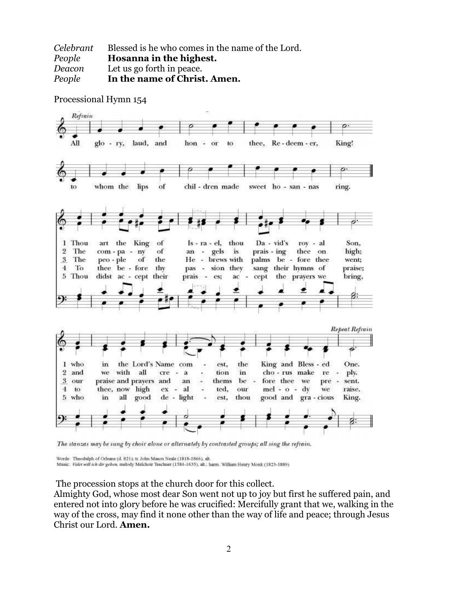| Celebrant | Blessed is he who comes in the name of the Lord. |
|-----------|--------------------------------------------------|
| People    | Hosanna in the highest.                          |
| Deacon    | Let us go forth in peace.                        |
| People    | In the name of Christ. Amen.                     |



Processional Hymn 154

The stanzas may be sung by choir alone or alternately by contrasted groups; all sing the refrain.

Words: Theodulph of Orleans (d. 821); tr. John Mason Neale (1818-1866), alt.

Music: Valet will ich dir geben, melody Melchoir Teschner (1584-1635), alt.; harm. William Henry Monk (1823-1889)

The procession stops at the church door for this collect.

Almighty God, whose most dear Son went not up to joy but first he suffered pain, and entered not into glory before he was crucified: Mercifully grant that we, walking in the way of the cross, may find it none other than the way of life and peace; through Jesus Christ our Lord. **Amen.**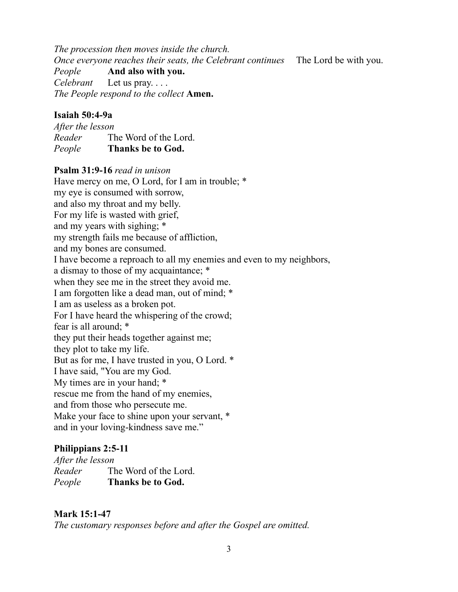*The procession then moves inside the church. Once everyone reaches their seats, the Celebrant continues* The Lord be with you. *People* **And also with you.** *Celebrant* Let us pray. . . . *The People respond to the collect* **Amen.**

#### **Isaiah 50:4-9a**

*After the lesson Reader* The Word of the Lord. *People* **Thanks be to God.**

#### **Psalm 31:9-16** *read in unison*

Have mercy on me, O Lord, for I am in trouble; \* my eye is consumed with sorrow, and also my throat and my belly. For my life is wasted with grief, and my years with sighing; \* my strength fails me because of affliction, and my bones are consumed. I have become a reproach to all my enemies and even to my neighbors, a dismay to those of my acquaintance; \* when they see me in the street they avoid me. I am forgotten like a dead man, out of mind; \* I am as useless as a broken pot. For I have heard the whispering of the crowd; fear is all around; \* they put their heads together against me; they plot to take my life. But as for me, I have trusted in you, O Lord. \* I have said, "You are my God. My times are in your hand; \* rescue me from the hand of my enemies, and from those who persecute me. Make your face to shine upon your servant, \* and in your loving-kindness save me."

#### **Philippians 2:5-11**

*After the lesson Reader* The Word of the Lord. *People* **Thanks be to God.**

#### **Mark 15:1-47**

*The customary responses before and after the Gospel are omitted.*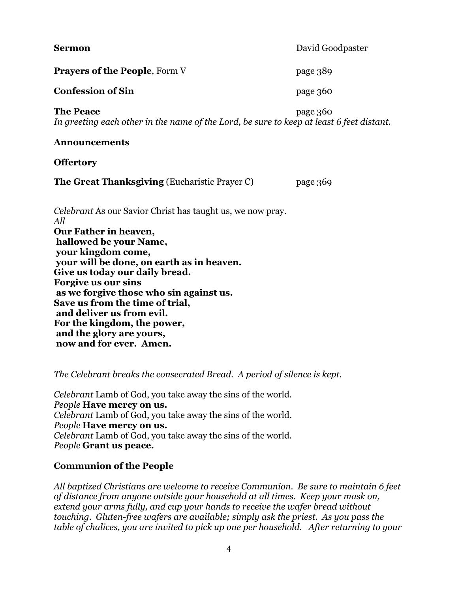**Sermon** David Goodpaster **Prayers of the People**, Form V page 389 **Confession of Sin** page 360 **The Peace** page 360 *In greeting each other in the name of the Lord, be sure to keep at least 6 feet distant.* **Announcements Offertory The Great Thanksgiving** (Eucharistic Prayer C) page 369 *Celebrant* As our Savior Christ has taught us, we now pray. *All* **Our Father in heaven, hallowed be your Name, your kingdom come, your will be done, on earth as in heaven. Give us today our daily bread. Forgive us our sins as we forgive those who sin against us. Save us from the time of trial, and deliver us from evil. For the kingdom, the power, and the glory are yours, now and for ever. Amen.**

*The Celebrant breaks the consecrated Bread. A period of silence is kept.*

*Celebrant* Lamb of God, you take away the sins of the world. *People* **Have mercy on us.** *Celebrant* Lamb of God, you take away the sins of the world. *People* **Have mercy on us.** *Celebrant* Lamb of God, you take away the sins of the world. *People* **Grant us peace.**

#### **Communion of the People**

*All baptized Christians are welcome to receive Communion. Be sure to maintain 6 feet of distance from anyone outside your household at all times. Keep your mask on, extend your arms fully, and cup your hands to receive the wafer bread without touching. Gluten-free wafers are available; simply ask the priest. As you pass the table of chalices, you are invited to pick up one per household. After returning to your*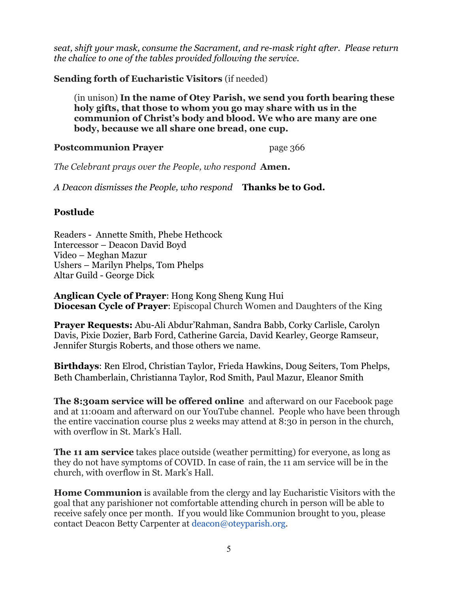*seat, shift your mask, consume the Sacrament, and re-mask right after. Please return the chalice to one of the tables provided following the service.*

**Sending forth of Eucharistic Visitors** (if needed)

(in unison) **In the name of Otey Parish, we send you forth bearing these holy gifts, that those to whom you go may share with us in the communion of Christ's body and blood. We who are many are one body, because we all share one bread, one cup.**

**Postcommunion Prayer** page 366

*The Celebrant prays over the People, who respond* **Amen.**

*A Deacon dismisses the People, who respond* **Thanks be to God.**

#### **Postlude**

Readers - Annette Smith, Phebe Hethcock Intercessor – Deacon David Boyd Video – Meghan Mazur Ushers – Marilyn Phelps, Tom Phelps Altar Guild - George Dick

**Anglican Cycle of Prayer**: Hong Kong Sheng Kung Hui **Diocesan Cycle of Prayer**: Episcopal Church Women and Daughters of the King

**Prayer Requests:** Abu-Ali Abdur'Rahman, Sandra Babb, Corky Carlisle, Carolyn Davis, Pixie Dozier, Barb Ford, Catherine Garcia, David Kearley, George Ramseur, Jennifer Sturgis Roberts, and those others we name.

**Birthdays**: Ren Elrod, Christian Taylor, Frieda Hawkins, Doug Seiters, Tom Phelps, Beth Chamberlain, Christianna Taylor, Rod Smith, Paul Mazur, Eleanor Smith

**The 8:30am service will be offered online** and afterward on our Facebook page and at 11:00am and afterward on our YouTube channel. People who have been through the entire vaccination course plus 2 weeks may attend at 8:30 in person in the church, with overflow in St. Mark's Hall.

**The 11 am service** takes place outside (weather permitting) for everyone, as long as they do not have symptoms of COVID. In case of rain, the 11 am service will be in the church, with overflow in St. Mark's Hall.

**Home Communion** is available from the clergy and lay Eucharistic Visitors with the goal that any parishioner not comfortable attending church in person will be able to receive safely once per month. If you would like Communion brought to you, please contact Deacon Betty Carpenter at deacon@oteyparish.org.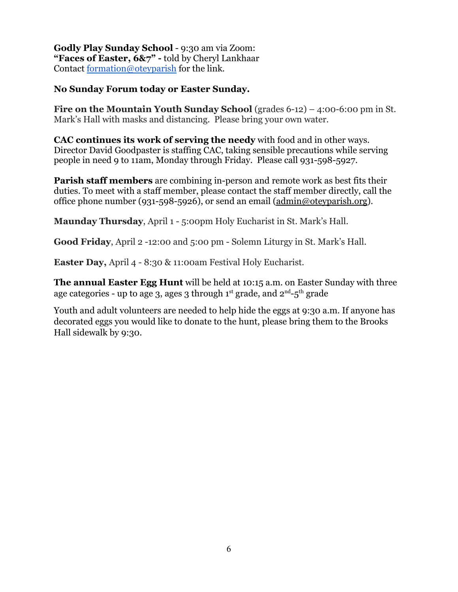**Godly Play Sunday School** - 9:30 am via Zoom: **"Faces of Easter, 6&7" -** told by Cheryl Lankhaar Contact [formation@oteyparish](mailto:formation@oteyparish.org) for the link.

#### **No Sunday Forum today or Easter Sunday.**

**Fire on the Mountain Youth Sunday School** (grades 6-12) – 4:00-6:00 pm in St. Mark's Hall with masks and distancing. Please bring your own water.

**CAC continues its work of serving the needy** with food and in other ways. Director David Goodpaster is staffing CAC, taking sensible precautions while serving people in need 9 to 11am, Monday through Friday. Please call 931-598-5927.

**Parish staff members** are combining in-person and remote work as best fits their duties. To meet with a staff member, please contact the staff member directly, call the office phone number (931-598-5926), or send an email [\(admin@oteyparish.org](mailto:admin@oteyparish.org)).

**Maunday Thursday**, April 1 - 5:00pm Holy Eucharist in St. Mark's Hall.

**Good Friday**, April 2 -12:00 and 5:00 pm - Solemn Liturgy in St. Mark's Hall.

**Easter Day,** April 4 - 8:30 & 11:00am Festival Holy Eucharist.

**The annual Easter Egg Hunt** will be held at 10:15 a.m. on Easter Sunday with three age categories - up to age 3, ages 3 through 1st grade, and 2 $^{\rm nd}$ -5 $^{\rm th}$  grade

Youth and adult volunteers are needed to help hide the eggs at 9:30 a.m. If anyone has decorated eggs you would like to donate to the hunt, please bring them to the Brooks Hall sidewalk by 9:30.